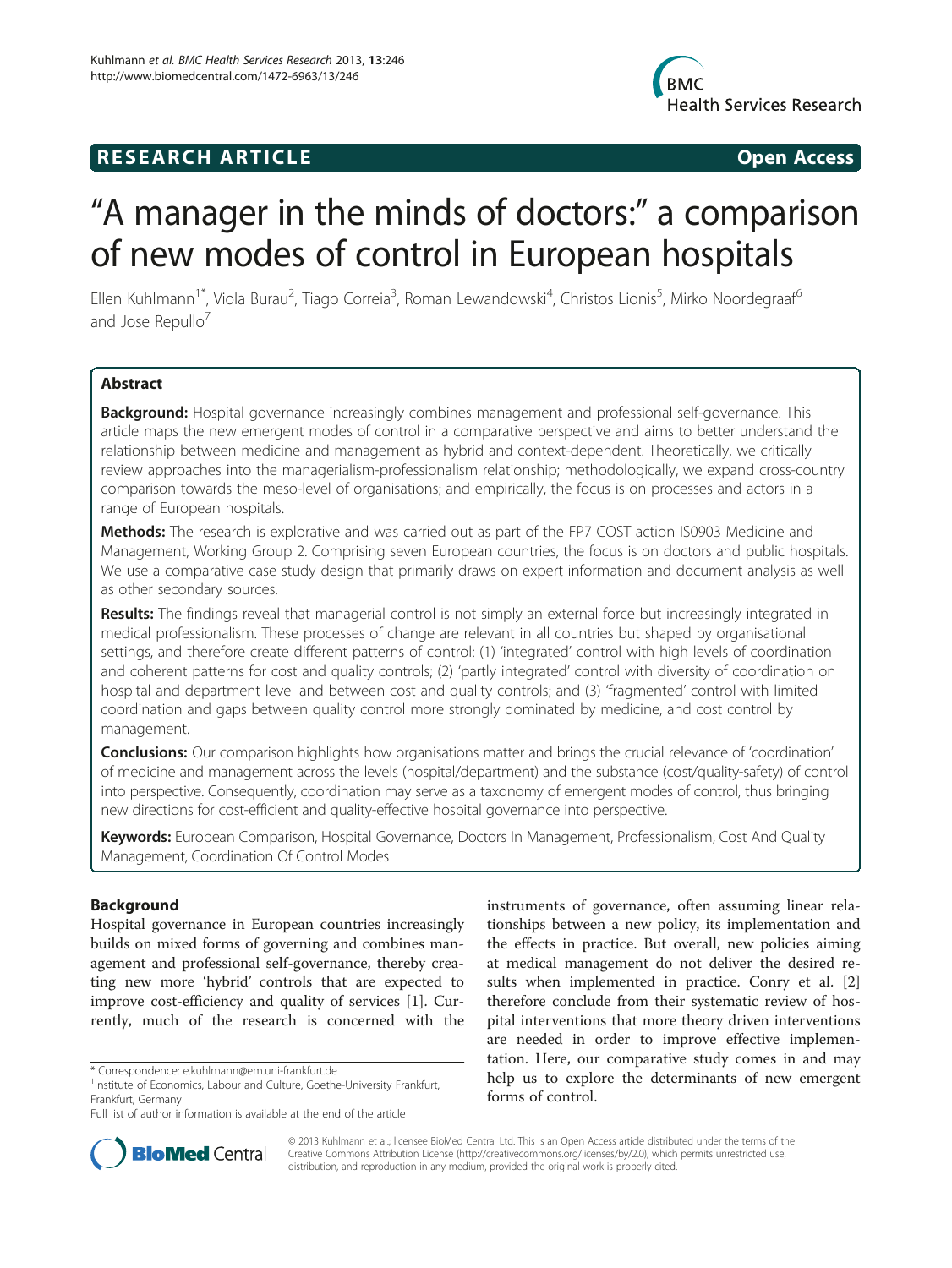



# "A manager in the minds of doctors:" a comparison of new modes of control in European hospitals

Ellen Kuhlmann<sup>1\*</sup>, Viola Burau<sup>2</sup>, Tiago Correia<sup>3</sup>, Roman Lewandowski<sup>4</sup>, Christos Lionis<sup>5</sup>, Mirko Noordegraaf<sup>6</sup> and Jose Repullo<sup>7</sup>

# **Abstract**

Background: Hospital governance increasingly combines management and professional self-governance. This article maps the new emergent modes of control in a comparative perspective and aims to better understand the relationship between medicine and management as hybrid and context-dependent. Theoretically, we critically review approaches into the managerialism-professionalism relationship; methodologically, we expand cross-country comparison towards the meso-level of organisations; and empirically, the focus is on processes and actors in a range of European hospitals.

Methods: The research is explorative and was carried out as part of the FP7 COST action IS0903 Medicine and Management, Working Group 2. Comprising seven European countries, the focus is on doctors and public hospitals. We use a comparative case study design that primarily draws on expert information and document analysis as well as other secondary sources.

Results: The findings reveal that managerial control is not simply an external force but increasingly integrated in medical professionalism. These processes of change are relevant in all countries but shaped by organisational settings, and therefore create different patterns of control: (1) 'integrated' control with high levels of coordination and coherent patterns for cost and quality controls; (2) 'partly integrated' control with diversity of coordination on hospital and department level and between cost and quality controls; and (3) 'fragmented' control with limited coordination and gaps between quality control more strongly dominated by medicine, and cost control by management.

Conclusions: Our comparison highlights how organisations matter and brings the crucial relevance of 'coordination' of medicine and management across the levels (hospital/department) and the substance (cost/quality-safety) of control into perspective. Consequently, coordination may serve as a taxonomy of emergent modes of control, thus bringing new directions for cost-efficient and quality-effective hospital governance into perspective.

Keywords: European Comparison, Hospital Governance, Doctors In Management, Professionalism, Cost And Quality Management, Coordination Of Control Modes

# Background

Hospital governance in European countries increasingly builds on mixed forms of governing and combines management and professional self-governance, thereby creating new more 'hybrid' controls that are expected to improve cost-efficiency and quality of services [\[1](#page-9-0)]. Currently, much of the research is concerned with the

instruments of governance, often assuming linear relationships between a new policy, its implementation and the effects in practice. But overall, new policies aiming at medical management do not deliver the desired results when implemented in practice. Conry et al. [\[2](#page-9-0)] therefore conclude from their systematic review of hospital interventions that more theory driven interventions are needed in order to improve effective implementation. Here, our comparative study comes in and may help us to explore the determinants of new emergent forms of control.



© 2013 Kuhlmann et al.; licensee BioMed Central Ltd. This is an Open Access article distributed under the terms of the Creative Commons Attribution License (<http://creativecommons.org/licenses/by/2.0>), which permits unrestricted use, distribution, and reproduction in any medium, provided the original work is properly cited.

<sup>\*</sup> Correspondence: [e.kuhlmann@em.uni-frankfurt.de](mailto:e.kuhlmann@em.uni-frankfurt.de) <sup>1</sup>

<sup>&</sup>lt;sup>1</sup>Institute of Economics, Labour and Culture, Goethe-University Frankfurt, Frankfurt, Germany

Full list of author information is available at the end of the article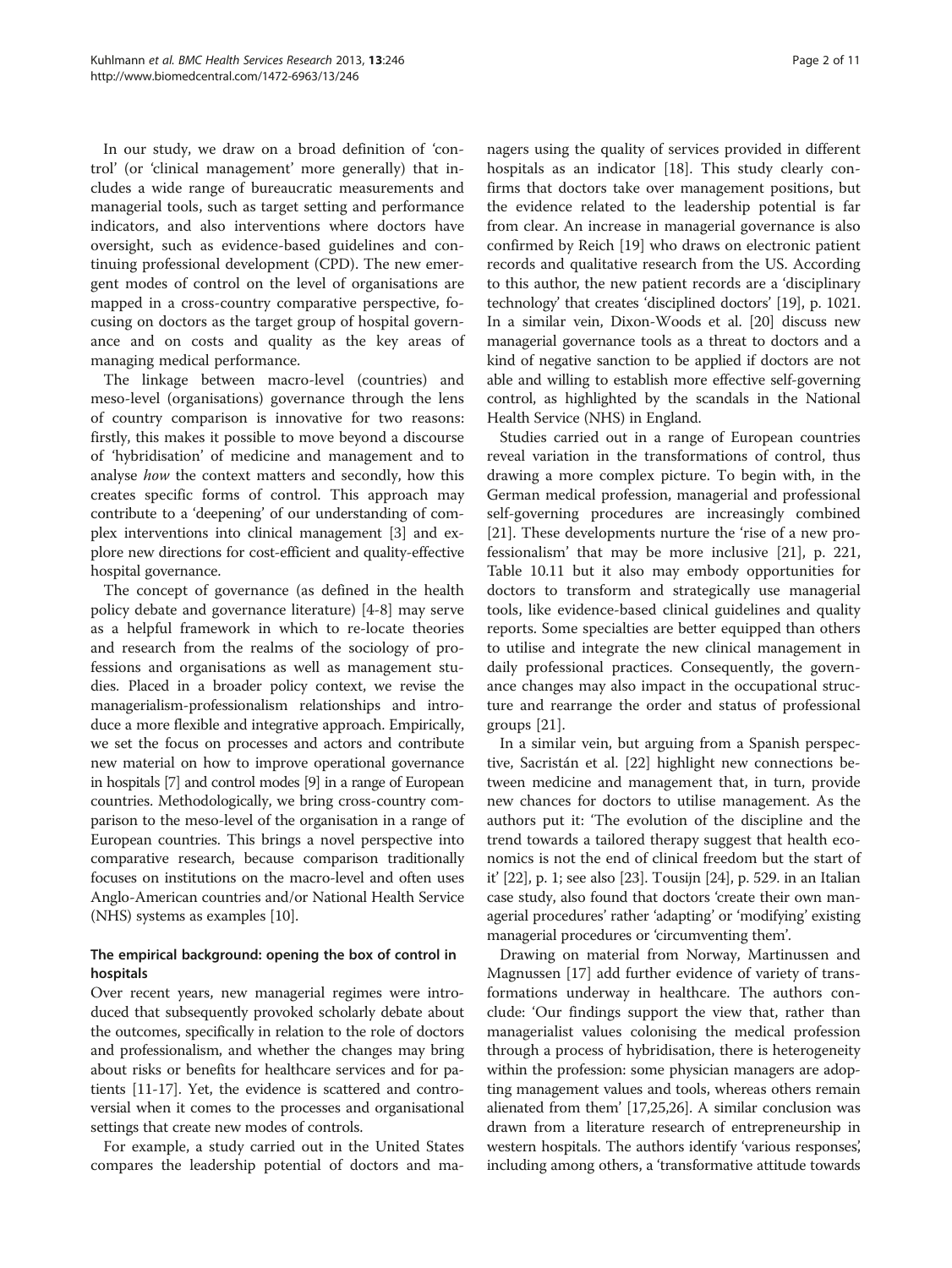In our study, we draw on a broad definition of 'control' (or 'clinical management' more generally) that includes a wide range of bureaucratic measurements and managerial tools, such as target setting and performance indicators, and also interventions where doctors have oversight, such as evidence-based guidelines and continuing professional development (CPD). The new emergent modes of control on the level of organisations are mapped in a cross-country comparative perspective, focusing on doctors as the target group of hospital governance and on costs and quality as the key areas of managing medical performance.

The linkage between macro-level (countries) and meso-level (organisations) governance through the lens of country comparison is innovative for two reasons: firstly, this makes it possible to move beyond a discourse of 'hybridisation' of medicine and management and to analyse how the context matters and secondly, how this creates specific forms of control. This approach may contribute to a 'deepening' of our understanding of complex interventions into clinical management [[3](#page-9-0)] and explore new directions for cost-efficient and quality-effective hospital governance.

The concept of governance (as defined in the health policy debate and governance literature) [\[4](#page-9-0)-[8\]](#page-9-0) may serve as a helpful framework in which to re-locate theories and research from the realms of the sociology of professions and organisations as well as management studies. Placed in a broader policy context, we revise the managerialism-professionalism relationships and introduce a more flexible and integrative approach. Empirically, we set the focus on processes and actors and contribute new material on how to improve operational governance in hospitals [\[7](#page-9-0)] and control modes [\[9\]](#page-9-0) in a range of European countries. Methodologically, we bring cross-country comparison to the meso-level of the organisation in a range of European countries. This brings a novel perspective into comparative research, because comparison traditionally focuses on institutions on the macro-level and often uses Anglo-American countries and/or National Health Service (NHS) systems as examples [\[10\]](#page-9-0).

# The empirical background: opening the box of control in hospitals

Over recent years, new managerial regimes were introduced that subsequently provoked scholarly debate about the outcomes, specifically in relation to the role of doctors and professionalism, and whether the changes may bring about risks or benefits for healthcare services and for patients [[11](#page-9-0)-[17](#page-9-0)]. Yet, the evidence is scattered and controversial when it comes to the processes and organisational settings that create new modes of controls.

For example, a study carried out in the United States compares the leadership potential of doctors and ma-

nagers using the quality of services provided in different hospitals as an indicator [[18](#page-9-0)]. This study clearly confirms that doctors take over management positions, but the evidence related to the leadership potential is far from clear. An increase in managerial governance is also confirmed by Reich [[19\]](#page-9-0) who draws on electronic patient records and qualitative research from the US. According to this author, the new patient records are a 'disciplinary technology' that creates 'disciplined doctors' [[19](#page-9-0)], p. 1021. In a similar vein, Dixon-Woods et al. [\[20\]](#page-9-0) discuss new managerial governance tools as a threat to doctors and a kind of negative sanction to be applied if doctors are not able and willing to establish more effective self-governing control, as highlighted by the scandals in the National Health Service (NHS) in England.

Studies carried out in a range of European countries reveal variation in the transformations of control, thus drawing a more complex picture. To begin with, in the German medical profession, managerial and professional self-governing procedures are increasingly combined [[21\]](#page-9-0). These developments nurture the 'rise of a new professionalism' that may be more inclusive [21], p. 221, Table 10.11 but it also may embody opportunities for doctors to transform and strategically use managerial tools, like evidence-based clinical guidelines and quality reports. Some specialties are better equipped than others to utilise and integrate the new clinical management in daily professional practices. Consequently, the governance changes may also impact in the occupational structure and rearrange the order and status of professional groups [[21](#page-9-0)].

In a similar vein, but arguing from a Spanish perspective, Sacristán et al. [\[22](#page-9-0)] highlight new connections between medicine and management that, in turn, provide new chances for doctors to utilise management. As the authors put it: 'The evolution of the discipline and the trend towards a tailored therapy suggest that health economics is not the end of clinical freedom but the start of it' [[22](#page-9-0)], p. 1; see also [[23](#page-9-0)]. Tousijn [\[24\]](#page-9-0), p. 529. in an Italian case study, also found that doctors 'create their own managerial procedures' rather 'adapting' or 'modifying' existing managerial procedures or 'circumventing them'.

Drawing on material from Norway, Martinussen and Magnussen [\[17](#page-9-0)] add further evidence of variety of transformations underway in healthcare. The authors conclude: 'Our findings support the view that, rather than managerialist values colonising the medical profession through a process of hybridisation, there is heterogeneity within the profession: some physician managers are adopting management values and tools, whereas others remain alienated from them' [\[17,25,26](#page-9-0)]. A similar conclusion was drawn from a literature research of entrepreneurship in western hospitals. The authors identify 'various responses', including among others, a 'transformative attitude towards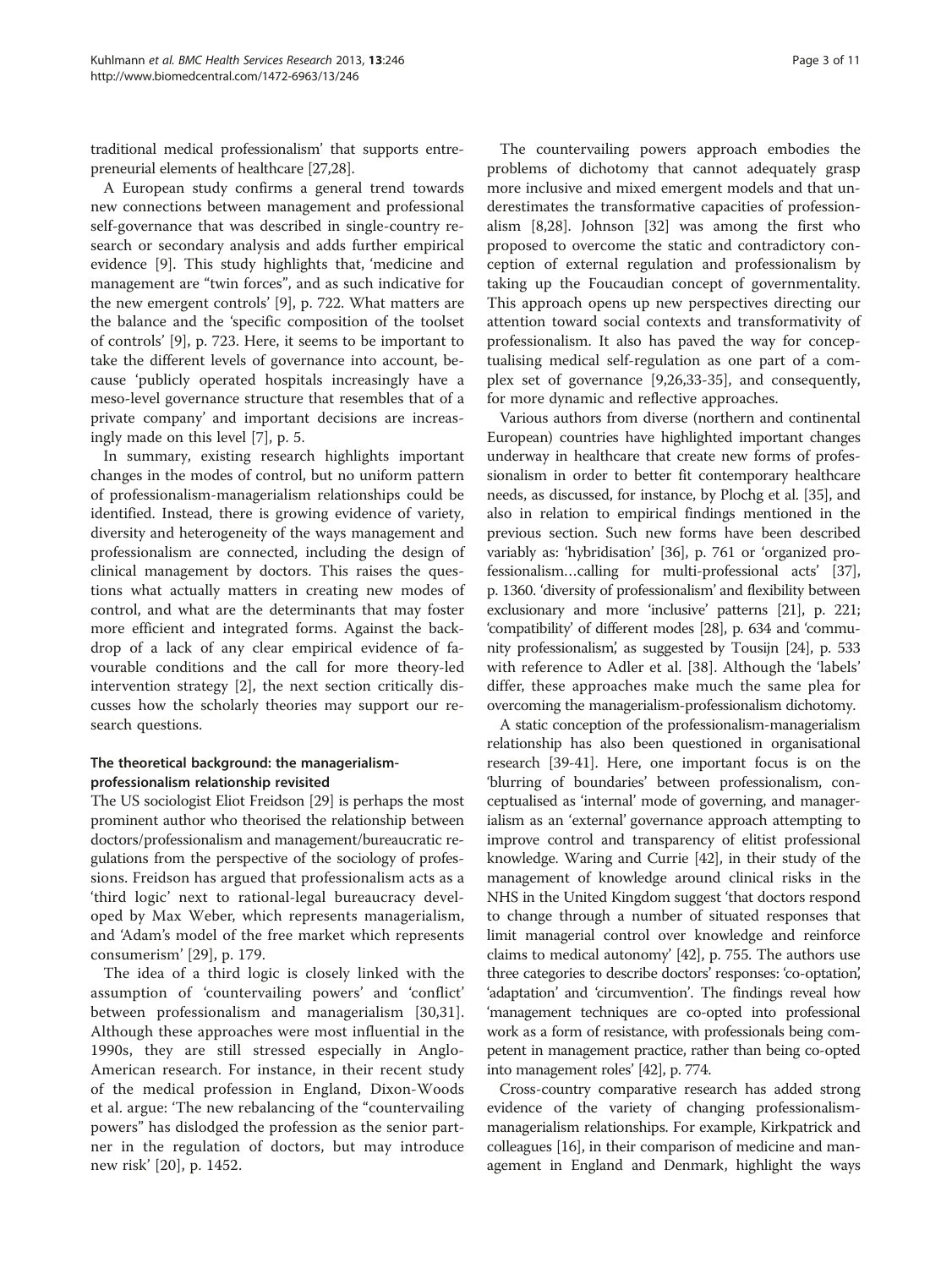traditional medical professionalism' that supports entrepreneurial elements of healthcare [[27,28\]](#page-9-0).

A European study confirms a general trend towards new connections between management and professional self-governance that was described in single-country research or secondary analysis and adds further empirical evidence [\[9](#page-9-0)]. This study highlights that, 'medicine and management are "twin forces", and as such indicative for the new emergent controls' [[9\]](#page-9-0), p. 722. What matters are the balance and the 'specific composition of the toolset of controls' [\[9](#page-9-0)], p. 723. Here, it seems to be important to take the different levels of governance into account, because 'publicly operated hospitals increasingly have a meso-level governance structure that resembles that of a private company' and important decisions are increasingly made on this level [\[7](#page-9-0)], p. 5.

In summary, existing research highlights important changes in the modes of control, but no uniform pattern of professionalism-managerialism relationships could be identified. Instead, there is growing evidence of variety, diversity and heterogeneity of the ways management and professionalism are connected, including the design of clinical management by doctors. This raises the questions what actually matters in creating new modes of control, and what are the determinants that may foster more efficient and integrated forms. Against the backdrop of a lack of any clear empirical evidence of favourable conditions and the call for more theory-led intervention strategy [[2\]](#page-9-0), the next section critically discusses how the scholarly theories may support our research questions.

# The theoretical background: the managerialismprofessionalism relationship revisited

The US sociologist Eliot Freidson [\[29](#page-9-0)] is perhaps the most prominent author who theorised the relationship between doctors/professionalism and management/bureaucratic regulations from the perspective of the sociology of professions. Freidson has argued that professionalism acts as a 'third logic' next to rational-legal bureaucracy developed by Max Weber, which represents managerialism, and 'Adam's model of the free market which represents consumerism' [[29\]](#page-9-0), p. 179.

The idea of a third logic is closely linked with the assumption of 'countervailing powers' and 'conflict' between professionalism and managerialism [[30,31](#page-9-0)]. Although these approaches were most influential in the 1990s, they are still stressed especially in Anglo-American research. For instance, in their recent study of the medical profession in England, Dixon-Woods et al. argue: 'The new rebalancing of the "countervailing powers" has dislodged the profession as the senior partner in the regulation of doctors, but may introduce new risk' [\[20](#page-9-0)], p. 1452.

The countervailing powers approach embodies the problems of dichotomy that cannot adequately grasp more inclusive and mixed emergent models and that underestimates the transformative capacities of professionalism [\[8,28](#page-9-0)]. Johnson [\[32\]](#page-9-0) was among the first who proposed to overcome the static and contradictory conception of external regulation and professionalism by taking up the Foucaudian concept of governmentality. This approach opens up new perspectives directing our attention toward social contexts and transformativity of professionalism. It also has paved the way for conceptualising medical self-regulation as one part of a complex set of governance [\[9,26,33](#page-9-0)-[35\]](#page-9-0), and consequently, for more dynamic and reflective approaches.

Various authors from diverse (northern and continental European) countries have highlighted important changes underway in healthcare that create new forms of professionalism in order to better fit contemporary healthcare needs, as discussed, for instance, by Plochg et al. [\[35\]](#page-9-0), and also in relation to empirical findings mentioned in the previous section. Such new forms have been described variably as: 'hybridisation' [\[36\]](#page-9-0), p. 761 or 'organized professionalism…calling for multi-professional acts' [[37](#page-9-0)], p. 1360. 'diversity of professionalism' and flexibility between exclusionary and more 'inclusive' patterns [\[21\]](#page-9-0), p. 221; 'compatibility' of different modes [[28](#page-9-0)], p. 634 and 'commu-nity professionalism, as suggested by Tousijn [[24\]](#page-9-0), p. 533 with reference to Adler et al. [\[38](#page-9-0)]. Although the 'labels' differ, these approaches make much the same plea for overcoming the managerialism-professionalism dichotomy.

A static conception of the professionalism-managerialism relationship has also been questioned in organisational research [\[39](#page-9-0)-[41](#page-9-0)]. Here, one important focus is on the 'blurring of boundaries' between professionalism, conceptualised as 'internal' mode of governing, and managerialism as an 'external' governance approach attempting to improve control and transparency of elitist professional knowledge. Waring and Currie [\[42](#page-9-0)], in their study of the management of knowledge around clinical risks in the NHS in the United Kingdom suggest 'that doctors respond to change through a number of situated responses that limit managerial control over knowledge and reinforce claims to medical autonomy' [\[42\]](#page-9-0), p. 755. The authors use three categories to describe doctors' responses: 'co-optation,' 'adaptation' and 'circumvention'. The findings reveal how 'management techniques are co-opted into professional work as a form of resistance, with professionals being competent in management practice, rather than being co-opted into management roles' [\[42\]](#page-9-0), p. 774.

Cross-country comparative research has added strong evidence of the variety of changing professionalismmanagerialism relationships. For example, Kirkpatrick and colleagues [\[16\]](#page-9-0), in their comparison of medicine and management in England and Denmark, highlight the ways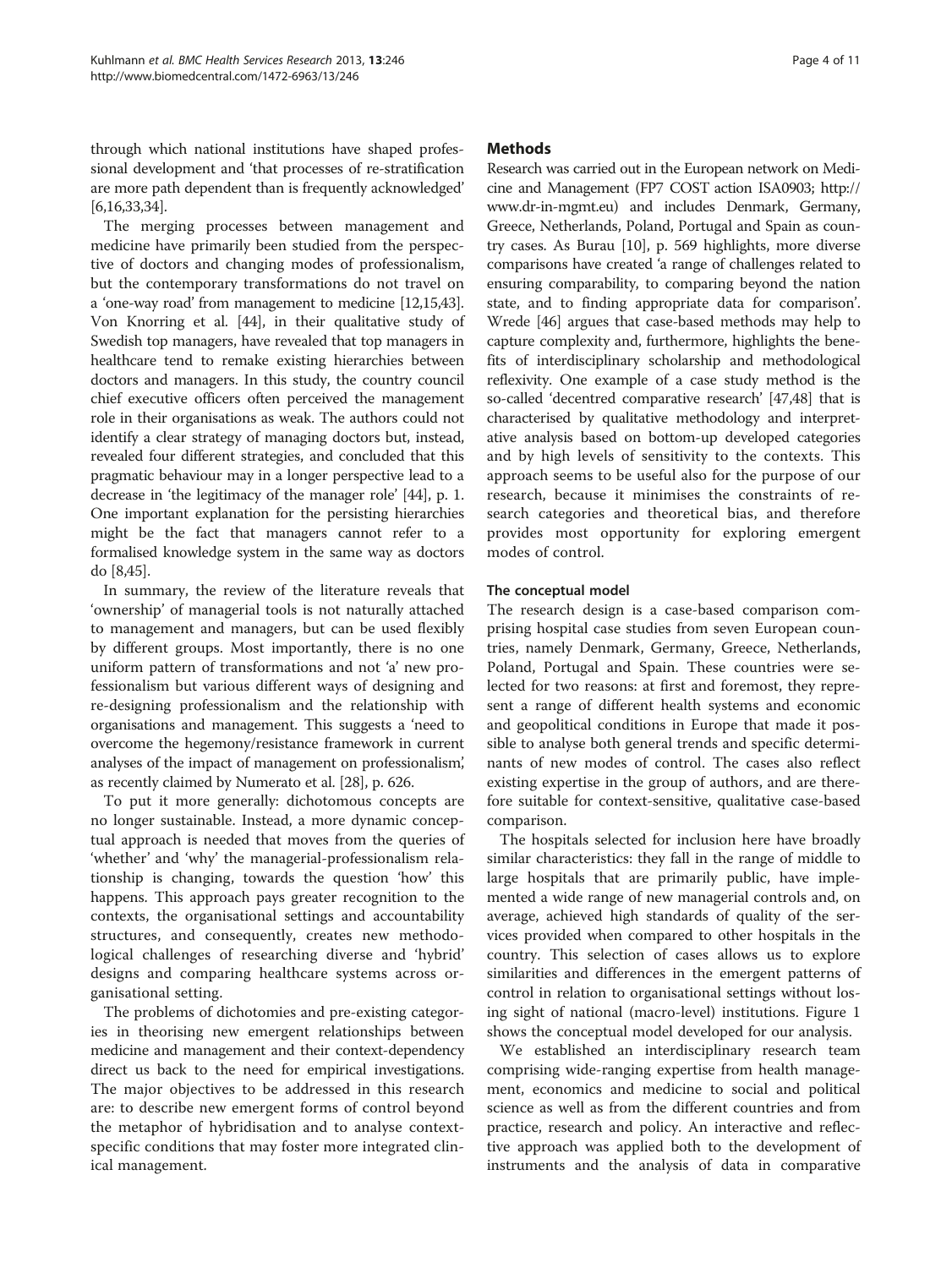through which national institutions have shaped professional development and 'that processes of re-stratification are more path dependent than is frequently acknowledged' [[6,16,33,34\]](#page-9-0).

The merging processes between management and medicine have primarily been studied from the perspective of doctors and changing modes of professionalism, but the contemporary transformations do not travel on a 'one-way road' from management to medicine [\[12,15,43](#page-9-0)]. Von Knorring et al. [\[44\]](#page-9-0), in their qualitative study of Swedish top managers, have revealed that top managers in healthcare tend to remake existing hierarchies between doctors and managers. In this study, the country council chief executive officers often perceived the management role in their organisations as weak. The authors could not identify a clear strategy of managing doctors but, instead, revealed four different strategies, and concluded that this pragmatic behaviour may in a longer perspective lead to a decrease in 'the legitimacy of the manager role' [\[44\]](#page-9-0), p. 1. One important explanation for the persisting hierarchies might be the fact that managers cannot refer to a formalised knowledge system in the same way as doctors do [[8,45](#page-9-0)].

In summary, the review of the literature reveals that 'ownership' of managerial tools is not naturally attached to management and managers, but can be used flexibly by different groups. Most importantly, there is no one uniform pattern of transformations and not 'a' new professionalism but various different ways of designing and re-designing professionalism and the relationship with organisations and management. This suggests a 'need to overcome the hegemony/resistance framework in current analyses of the impact of management on professionalism', as recently claimed by Numerato et al. [\[28](#page-9-0)], p. 626.

To put it more generally: dichotomous concepts are no longer sustainable. Instead, a more dynamic conceptual approach is needed that moves from the queries of 'whether' and 'why' the managerial-professionalism relationship is changing, towards the question 'how' this happens. This approach pays greater recognition to the contexts, the organisational settings and accountability structures, and consequently, creates new methodological challenges of researching diverse and 'hybrid' designs and comparing healthcare systems across organisational setting.

The problems of dichotomies and pre-existing categories in theorising new emergent relationships between medicine and management and their context-dependency direct us back to the need for empirical investigations. The major objectives to be addressed in this research are: to describe new emergent forms of control beyond the metaphor of hybridisation and to analyse contextspecific conditions that may foster more integrated clinical management.

# **Methods**

Research was carried out in the European network on Medicine and Management (FP7 COST action ISA0903; [http://](http://www.dr-in-mgmt.eu) [www.dr-in-mgmt.eu](http://www.dr-in-mgmt.eu)) and includes Denmark, Germany, Greece, Netherlands, Poland, Portugal and Spain as country cases. As Burau [\[10\]](#page-9-0), p. 569 highlights, more diverse comparisons have created 'a range of challenges related to ensuring comparability, to comparing beyond the nation state, and to finding appropriate data for comparison'. Wrede [[46](#page-9-0)] argues that case-based methods may help to capture complexity and, furthermore, highlights the benefits of interdisciplinary scholarship and methodological reflexivity. One example of a case study method is the so-called 'decentred comparative research' [\[47,48](#page-9-0)] that is characterised by qualitative methodology and interpretative analysis based on bottom-up developed categories and by high levels of sensitivity to the contexts. This approach seems to be useful also for the purpose of our research, because it minimises the constraints of research categories and theoretical bias, and therefore provides most opportunity for exploring emergent modes of control.

## The conceptual model

The research design is a case-based comparison comprising hospital case studies from seven European countries, namely Denmark, Germany, Greece, Netherlands, Poland, Portugal and Spain. These countries were selected for two reasons: at first and foremost, they represent a range of different health systems and economic and geopolitical conditions in Europe that made it possible to analyse both general trends and specific determinants of new modes of control. The cases also reflect existing expertise in the group of authors, and are therefore suitable for context-sensitive, qualitative case-based comparison.

The hospitals selected for inclusion here have broadly similar characteristics: they fall in the range of middle to large hospitals that are primarily public, have implemented a wide range of new managerial controls and, on average, achieved high standards of quality of the services provided when compared to other hospitals in the country. This selection of cases allows us to explore similarities and differences in the emergent patterns of control in relation to organisational settings without losing sight of national (macro-level) institutions. Figure [1](#page-4-0) shows the conceptual model developed for our analysis.

We established an interdisciplinary research team comprising wide-ranging expertise from health management, economics and medicine to social and political science as well as from the different countries and from practice, research and policy. An interactive and reflective approach was applied both to the development of instruments and the analysis of data in comparative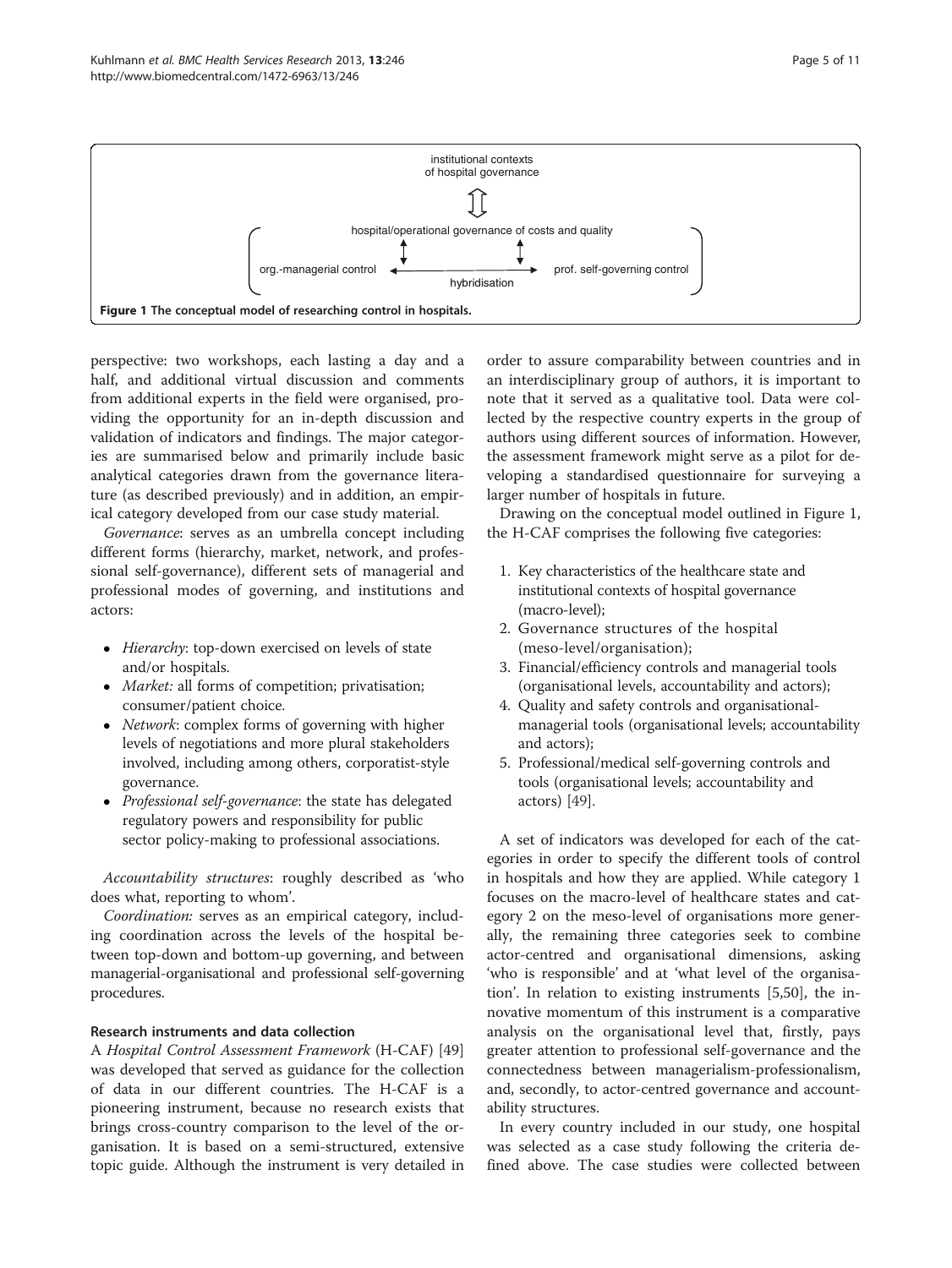<span id="page-4-0"></span>

perspective: two workshops, each lasting a day and a half, and additional virtual discussion and comments from additional experts in the field were organised, providing the opportunity for an in-depth discussion and validation of indicators and findings. The major categories are summarised below and primarily include basic analytical categories drawn from the governance literature (as described previously) and in addition, an empirical category developed from our case study material.

Governance: serves as an umbrella concept including different forms (hierarchy, market, network, and professional self-governance), different sets of managerial and professional modes of governing, and institutions and actors:

- Hierarchy: top-down exercised on levels of state and/or hospitals.
- Market: all forms of competition; privatisation; consumer/patient choice.
- *Network*: complex forms of governing with higher levels of negotiations and more plural stakeholders involved, including among others, corporatist-style governance.
- Professional self-governance: the state has delegated regulatory powers and responsibility for public sector policy-making to professional associations.

Accountability structures: roughly described as 'who does what, reporting to whom'.

Coordination: serves as an empirical category, including coordination across the levels of the hospital between top-down and bottom-up governing, and between managerial-organisational and professional self-governing procedures.

# Research instruments and data collection

A Hospital Control Assessment Framework (H-CAF) [[49](#page-9-0)] was developed that served as guidance for the collection of data in our different countries. The H-CAF is a pioneering instrument, because no research exists that brings cross-country comparison to the level of the organisation. It is based on a semi-structured, extensive topic guide. Although the instrument is very detailed in

order to assure comparability between countries and in an interdisciplinary group of authors, it is important to note that it served as a qualitative tool. Data were collected by the respective country experts in the group of authors using different sources of information. However, the assessment framework might serve as a pilot for developing a standardised questionnaire for surveying a larger number of hospitals in future.

Drawing on the conceptual model outlined in Figure 1, the H-CAF comprises the following five categories:

- 1. Key characteristics of the healthcare state and institutional contexts of hospital governance (macro-level);
- 2. Governance structures of the hospital (meso-level/organisation);
- 3. Financial/efficiency controls and managerial tools (organisational levels, accountability and actors);
- 4. Quality and safety controls and organisationalmanagerial tools (organisational levels; accountability and actors);
- 5. Professional/medical self-governing controls and tools (organisational levels; accountability and actors) [[49](#page-9-0)].

A set of indicators was developed for each of the categories in order to specify the different tools of control in hospitals and how they are applied. While category 1 focuses on the macro-level of healthcare states and category 2 on the meso-level of organisations more generally, the remaining three categories seek to combine actor-centred and organisational dimensions, asking 'who is responsible' and at 'what level of the organisation'. In relation to existing instruments [\[5](#page-9-0)[,50](#page-10-0)], the innovative momentum of this instrument is a comparative analysis on the organisational level that, firstly, pays greater attention to professional self-governance and the connectedness between managerialism-professionalism, and, secondly, to actor-centred governance and accountability structures.

In every country included in our study, one hospital was selected as a case study following the criteria defined above. The case studies were collected between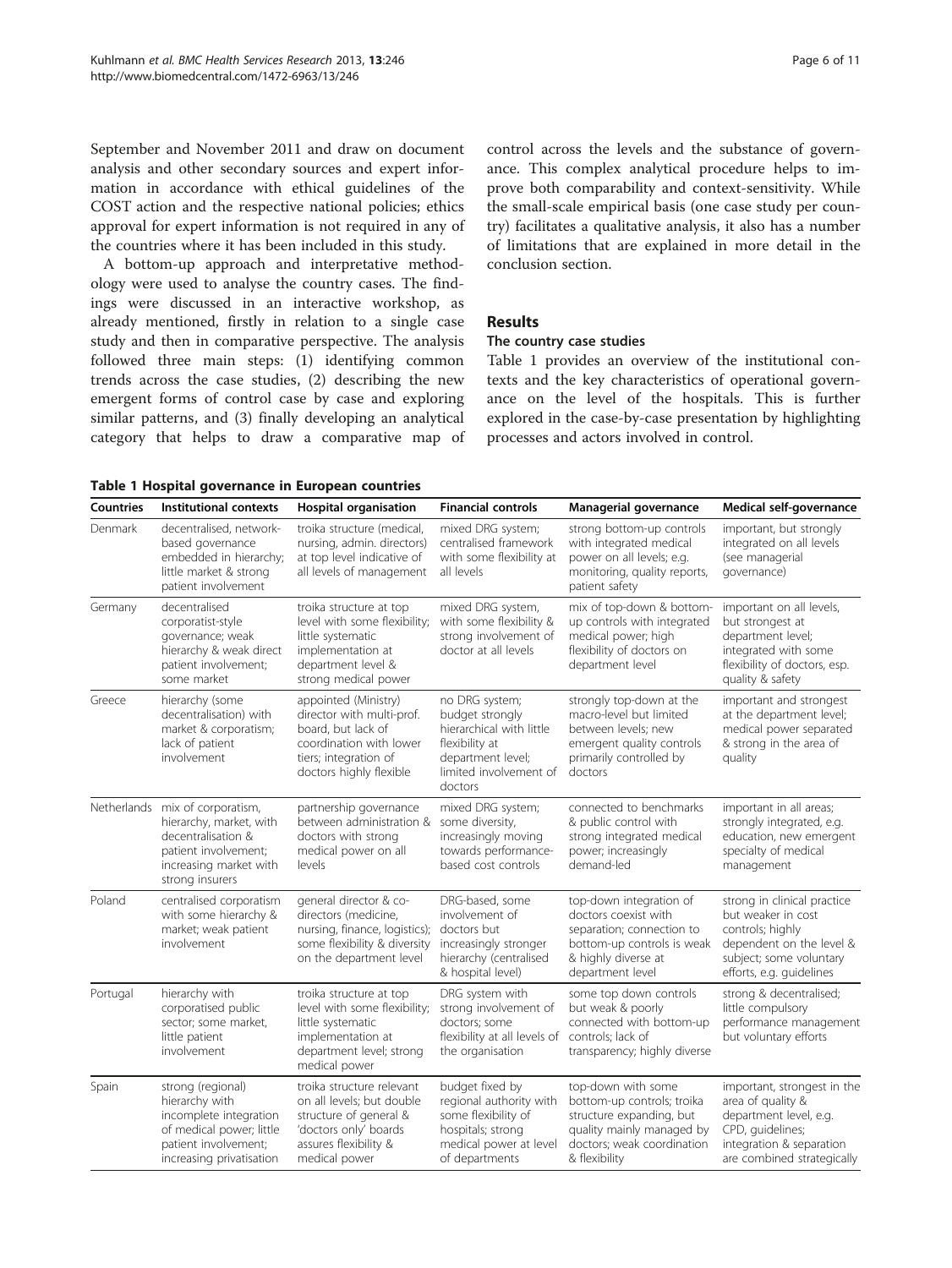September and November 2011 and draw on document analysis and other secondary sources and expert information in accordance with ethical guidelines of the COST action and the respective national policies; ethics approval for expert information is not required in any of the countries where it has been included in this study.

A bottom-up approach and interpretative methodology were used to analyse the country cases. The findings were discussed in an interactive workshop, as already mentioned, firstly in relation to a single case study and then in comparative perspective. The analysis followed three main steps: (1) identifying common trends across the case studies, (2) describing the new emergent forms of control case by case and exploring similar patterns, and (3) finally developing an analytical category that helps to draw a comparative map of control across the levels and the substance of governance. This complex analytical procedure helps to improve both comparability and context-sensitivity. While the small-scale empirical basis (one case study per country) facilitates a qualitative analysis, it also has a number of limitations that are explained in more detail in the [conclusion](#page-8-0) section.

# Results

# The country case studies

Table 1 provides an overview of the institutional contexts and the key characteristics of operational governance on the level of the hospitals. This is further explored in the case-by-case presentation by highlighting processes and actors involved in control.

|  |  |  | Table 1 Hospital governance in European countries |
|--|--|--|---------------------------------------------------|
|--|--|--|---------------------------------------------------|

| Countries | Institutional contexts                                                                                                                                | <b>Hospital organisation</b>                                                                                                                           | <b>Financial controls</b>                                                                                                                 | Managerial governance                                                                                                                                    | Medical self-governance                                                                                                                                  |
|-----------|-------------------------------------------------------------------------------------------------------------------------------------------------------|--------------------------------------------------------------------------------------------------------------------------------------------------------|-------------------------------------------------------------------------------------------------------------------------------------------|----------------------------------------------------------------------------------------------------------------------------------------------------------|----------------------------------------------------------------------------------------------------------------------------------------------------------|
| Denmark   | decentralised, network-<br>based governance<br>embedded in hierarchy;<br>little market & strong<br>patient involvement                                | troika structure (medical,<br>nursing, admin. directors)<br>at top level indicative of<br>all levels of management                                     | mixed DRG system;<br>centralised framework<br>with some flexibility at<br>all levels                                                      | strong bottom-up controls<br>with integrated medical<br>power on all levels; e.g.<br>monitoring, quality reports,<br>patient safety                      | important, but strongly<br>integrated on all levels<br>(see managerial<br>qovernance)                                                                    |
| Germany   | decentralised<br>corporatist-style<br>governance; weak<br>hierarchy & weak direct<br>patient involvement;<br>some market                              | troika structure at top<br>level with some flexibility;<br>little systematic<br>implementation at<br>department level &<br>strong medical power        | mixed DRG system,<br>with some flexibility &<br>strong involvement of<br>doctor at all levels                                             | mix of top-down & bottom-<br>up controls with integrated<br>medical power; high<br>flexibility of doctors on<br>department level                         | important on all levels,<br>but strongest at<br>department level;<br>integrated with some<br>flexibility of doctors, esp.<br>quality & safety            |
| Greece    | hierarchy (some<br>decentralisation) with<br>market & corporatism;<br>lack of patient<br>involvement                                                  | appointed (Ministry)<br>director with multi-prof.<br>board, but lack of<br>coordination with lower<br>tiers; integration of<br>doctors highly flexible | no DRG system;<br>budget strongly<br>hierarchical with little<br>flexibility at<br>department level;<br>limited involvement of<br>doctors | strongly top-down at the<br>macro-level but limited<br>between levels: new<br>emergent quality controls<br>primarily controlled by<br>doctors            | important and strongest<br>at the department level;<br>medical power separated<br>& strong in the area of<br>quality                                     |
|           | Netherlands mix of corporatism,<br>hierarchy, market, with<br>decentralisation &<br>patient involvement;<br>increasing market with<br>strong insurers | partnership governance<br>between administration &<br>doctors with strong<br>medical power on all<br>levels                                            | mixed DRG system;<br>some diversity,<br>increasingly moving<br>towards performance-<br>based cost controls                                | connected to benchmarks<br>& public control with<br>strong integrated medical<br>power; increasingly<br>demand-led                                       | important in all areas;<br>strongly integrated, e.g.<br>education, new emergent<br>specialty of medical<br>management                                    |
| Poland    | centralised corporatism<br>with some hierarchy &<br>market; weak patient<br>involvement                                                               | general director & co-<br>directors (medicine,<br>nursing, finance, logistics);<br>some flexibility & diversity<br>on the department level             | DRG-based, some<br>involvement of<br>doctors but<br>increasingly stronger<br>hierarchy (centralised<br>& hospital level)                  | top-down integration of<br>doctors coexist with<br>separation; connection to<br>bottom-up controls is weak<br>& highly diverse at<br>department level    | strong in clinical practice<br>but weaker in cost<br>controls; highly<br>dependent on the level &<br>subject; some voluntary<br>efforts, e.g. quidelines |
| Portugal  | hierarchy with<br>corporatised public<br>sector; some market,<br>little patient<br>involvement                                                        | troika structure at top<br>level with some flexibility;<br>little systematic<br>implementation at<br>department level; strong<br>medical power         | DRG system with<br>strong involvement of<br>doctors; some<br>flexibility at all levels of<br>the organisation                             | some top down controls<br>but weak & poorly<br>connected with bottom-up<br>controls; lack of<br>transparency; highly diverse                             | strong & decentralised;<br>little compulsory<br>performance management<br>but voluntary efforts                                                          |
| Spain     | strong (regional)<br>hierarchy with<br>incomplete integration<br>of medical power; little<br>patient involvement;<br>increasing privatisation         | troika structure relevant<br>on all levels; but double<br>structure of general &<br>'doctors only' boards<br>assures flexibility &<br>medical power    | budget fixed by<br>regional authority with<br>some flexibility of<br>hospitals; strong<br>medical power at level<br>of departments        | top-down with some<br>bottom-up controls; troika<br>structure expanding, but<br>quality mainly managed by<br>doctors; weak coordination<br>& flexibility | important, strongest in the<br>area of quality &<br>department level, e.g.<br>CPD, guidelines;<br>integration & separation<br>are combined strategically |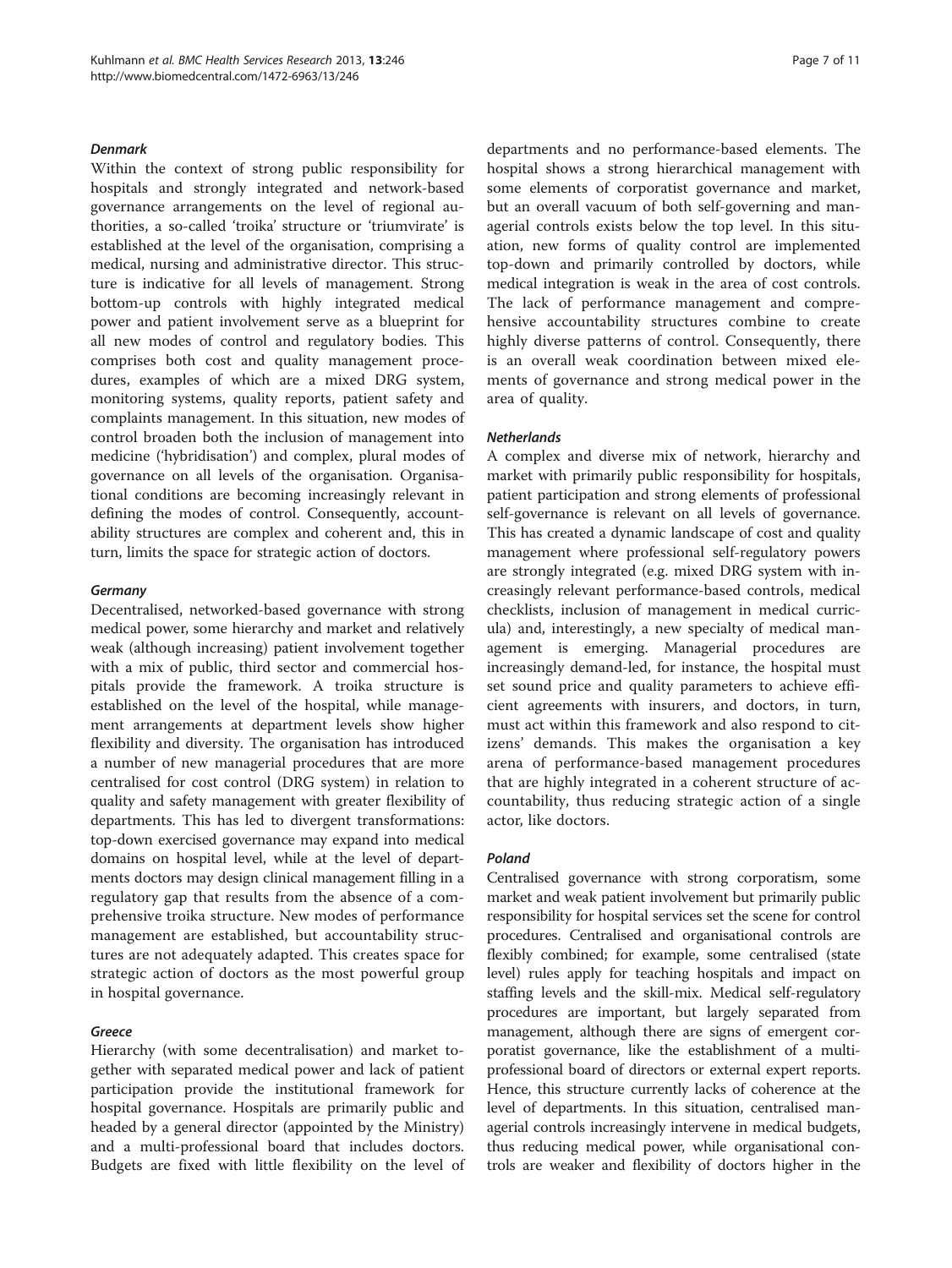#### Denmark

Within the context of strong public responsibility for hospitals and strongly integrated and network-based governance arrangements on the level of regional authorities, a so-called 'troika' structure or 'triumvirate' is established at the level of the organisation, comprising a medical, nursing and administrative director. This structure is indicative for all levels of management. Strong bottom-up controls with highly integrated medical power and patient involvement serve as a blueprint for all new modes of control and regulatory bodies. This comprises both cost and quality management procedures, examples of which are a mixed DRG system, monitoring systems, quality reports, patient safety and complaints management. In this situation, new modes of control broaden both the inclusion of management into medicine ('hybridisation') and complex, plural modes of governance on all levels of the organisation. Organisational conditions are becoming increasingly relevant in defining the modes of control. Consequently, accountability structures are complex and coherent and, this in turn, limits the space for strategic action of doctors.

#### **Germany**

Decentralised, networked-based governance with strong medical power, some hierarchy and market and relatively weak (although increasing) patient involvement together with a mix of public, third sector and commercial hospitals provide the framework. A troika structure is established on the level of the hospital, while management arrangements at department levels show higher flexibility and diversity. The organisation has introduced a number of new managerial procedures that are more centralised for cost control (DRG system) in relation to quality and safety management with greater flexibility of departments. This has led to divergent transformations: top-down exercised governance may expand into medical domains on hospital level, while at the level of departments doctors may design clinical management filling in a regulatory gap that results from the absence of a comprehensive troika structure. New modes of performance management are established, but accountability structures are not adequately adapted. This creates space for strategic action of doctors as the most powerful group in hospital governance.

# Greece

Hierarchy (with some decentralisation) and market together with separated medical power and lack of patient participation provide the institutional framework for hospital governance. Hospitals are primarily public and headed by a general director (appointed by the Ministry) and a multi-professional board that includes doctors. Budgets are fixed with little flexibility on the level of

departments and no performance-based elements. The hospital shows a strong hierarchical management with some elements of corporatist governance and market, but an overall vacuum of both self-governing and managerial controls exists below the top level. In this situation, new forms of quality control are implemented top-down and primarily controlled by doctors, while medical integration is weak in the area of cost controls. The lack of performance management and comprehensive accountability structures combine to create highly diverse patterns of control. Consequently, there is an overall weak coordination between mixed elements of governance and strong medical power in the area of quality.

## **Netherlands**

A complex and diverse mix of network, hierarchy and market with primarily public responsibility for hospitals, patient participation and strong elements of professional self-governance is relevant on all levels of governance. This has created a dynamic landscape of cost and quality management where professional self-regulatory powers are strongly integrated (e.g. mixed DRG system with increasingly relevant performance-based controls, medical checklists, inclusion of management in medical curricula) and, interestingly, a new specialty of medical management is emerging. Managerial procedures are increasingly demand-led, for instance, the hospital must set sound price and quality parameters to achieve efficient agreements with insurers, and doctors, in turn, must act within this framework and also respond to citizens' demands. This makes the organisation a key arena of performance-based management procedures that are highly integrated in a coherent structure of accountability, thus reducing strategic action of a single actor, like doctors.

## Poland

Centralised governance with strong corporatism, some market and weak patient involvement but primarily public responsibility for hospital services set the scene for control procedures. Centralised and organisational controls are flexibly combined; for example, some centralised (state level) rules apply for teaching hospitals and impact on staffing levels and the skill-mix. Medical self-regulatory procedures are important, but largely separated from management, although there are signs of emergent corporatist governance, like the establishment of a multiprofessional board of directors or external expert reports. Hence, this structure currently lacks of coherence at the level of departments. In this situation, centralised managerial controls increasingly intervene in medical budgets, thus reducing medical power, while organisational controls are weaker and flexibility of doctors higher in the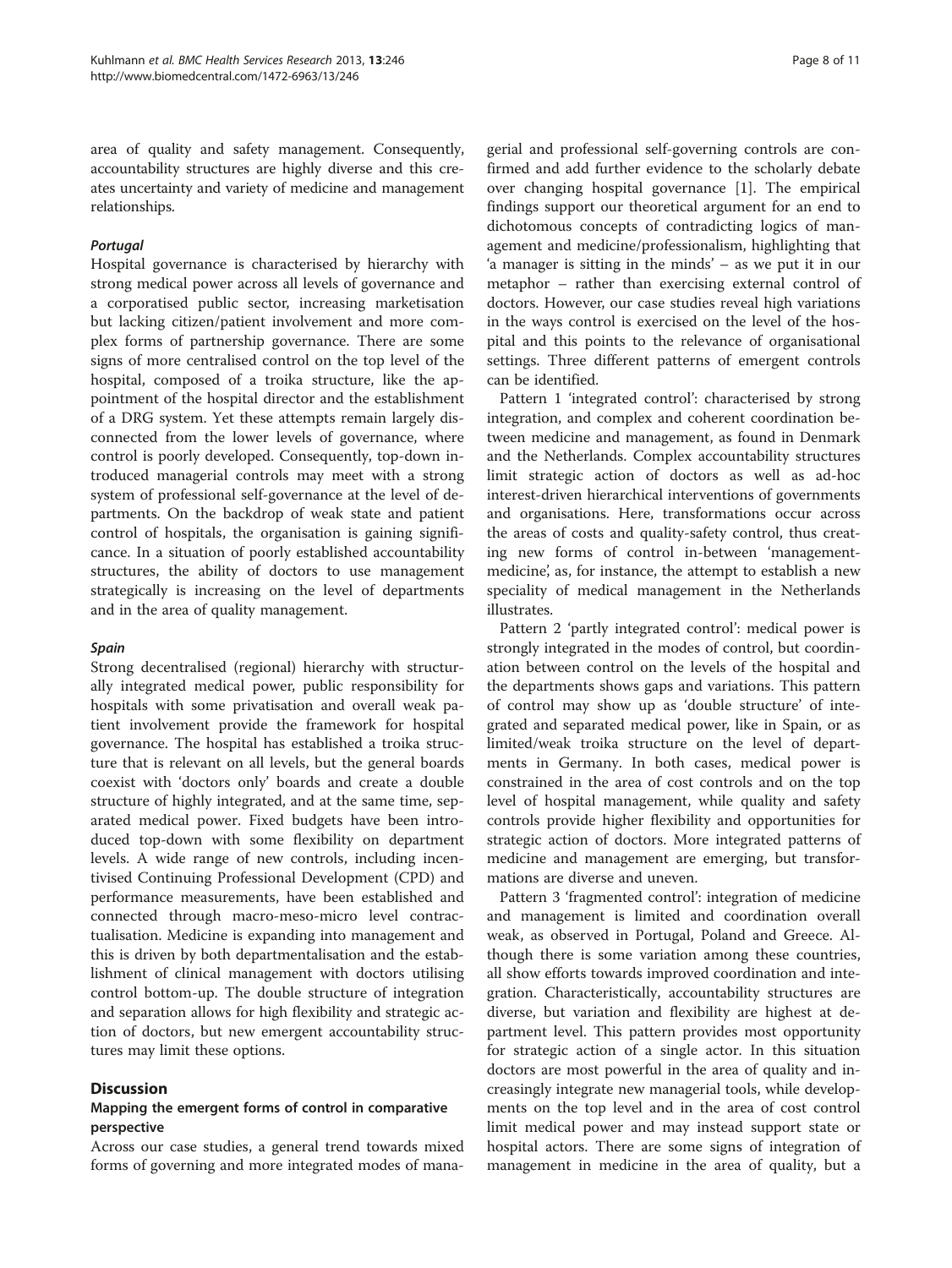area of quality and safety management. Consequently, accountability structures are highly diverse and this creates uncertainty and variety of medicine and management relationships.

## Portugal

Hospital governance is characterised by hierarchy with strong medical power across all levels of governance and a corporatised public sector, increasing marketisation but lacking citizen/patient involvement and more complex forms of partnership governance. There are some signs of more centralised control on the top level of the hospital, composed of a troika structure, like the appointment of the hospital director and the establishment of a DRG system. Yet these attempts remain largely disconnected from the lower levels of governance, where control is poorly developed. Consequently, top-down introduced managerial controls may meet with a strong system of professional self-governance at the level of departments. On the backdrop of weak state and patient control of hospitals, the organisation is gaining significance. In a situation of poorly established accountability structures, the ability of doctors to use management strategically is increasing on the level of departments and in the area of quality management.

## Spain

Strong decentralised (regional) hierarchy with structurally integrated medical power, public responsibility for hospitals with some privatisation and overall weak patient involvement provide the framework for hospital governance. The hospital has established a troika structure that is relevant on all levels, but the general boards coexist with 'doctors only' boards and create a double structure of highly integrated, and at the same time, separated medical power. Fixed budgets have been introduced top-down with some flexibility on department levels. A wide range of new controls, including incentivised Continuing Professional Development (CPD) and performance measurements, have been established and connected through macro-meso-micro level contractualisation. Medicine is expanding into management and this is driven by both departmentalisation and the establishment of clinical management with doctors utilising control bottom-up. The double structure of integration and separation allows for high flexibility and strategic action of doctors, but new emergent accountability structures may limit these options.

## **Discussion**

# Mapping the emergent forms of control in comparative perspective

Across our case studies, a general trend towards mixed forms of governing and more integrated modes of mana-

gerial and professional self-governing controls are confirmed and add further evidence to the scholarly debate over changing hospital governance [\[1](#page-9-0)]. The empirical findings support our theoretical argument for an end to dichotomous concepts of contradicting logics of management and medicine/professionalism, highlighting that 'a manager is sitting in the minds' – as we put it in our metaphor – rather than exercising external control of doctors. However, our case studies reveal high variations in the ways control is exercised on the level of the hospital and this points to the relevance of organisational settings. Three different patterns of emergent controls can be identified.

Pattern 1 'integrated control': characterised by strong integration, and complex and coherent coordination between medicine and management, as found in Denmark and the Netherlands. Complex accountability structures limit strategic action of doctors as well as ad-hoc interest-driven hierarchical interventions of governments and organisations. Here, transformations occur across the areas of costs and quality-safety control, thus creating new forms of control in-between 'managementmedicine', as, for instance, the attempt to establish a new speciality of medical management in the Netherlands illustrates.

Pattern 2 'partly integrated control': medical power is strongly integrated in the modes of control, but coordination between control on the levels of the hospital and the departments shows gaps and variations. This pattern of control may show up as 'double structure' of integrated and separated medical power, like in Spain, or as limited/weak troika structure on the level of departments in Germany. In both cases, medical power is constrained in the area of cost controls and on the top level of hospital management, while quality and safety controls provide higher flexibility and opportunities for strategic action of doctors. More integrated patterns of medicine and management are emerging, but transformations are diverse and uneven.

Pattern 3 'fragmented control': integration of medicine and management is limited and coordination overall weak, as observed in Portugal, Poland and Greece. Although there is some variation among these countries, all show efforts towards improved coordination and integration. Characteristically, accountability structures are diverse, but variation and flexibility are highest at department level. This pattern provides most opportunity for strategic action of a single actor. In this situation doctors are most powerful in the area of quality and increasingly integrate new managerial tools, while developments on the top level and in the area of cost control limit medical power and may instead support state or hospital actors. There are some signs of integration of management in medicine in the area of quality, but a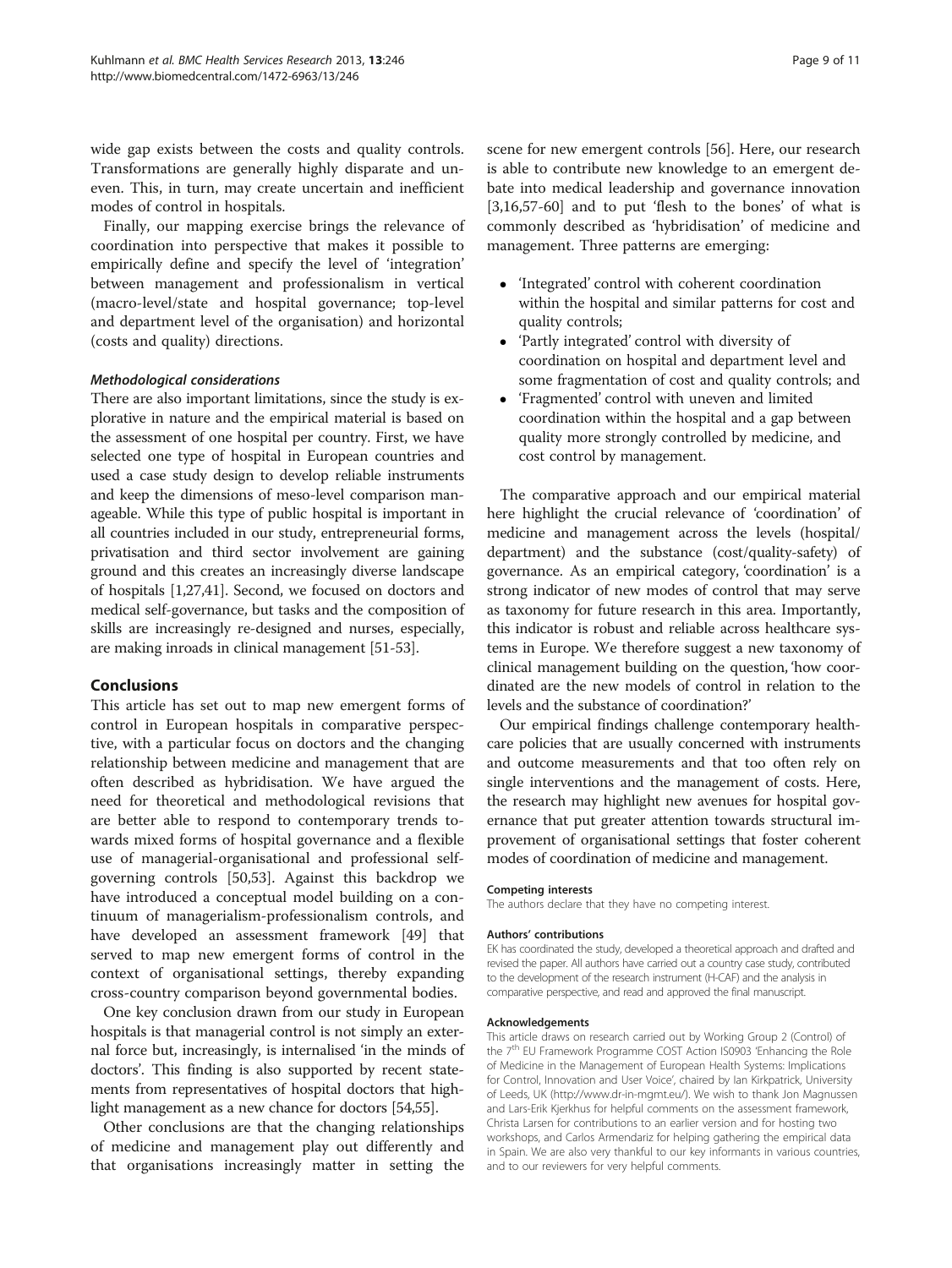<span id="page-8-0"></span>wide gap exists between the costs and quality controls. Transformations are generally highly disparate and uneven. This, in turn, may create uncertain and inefficient modes of control in hospitals.

Finally, our mapping exercise brings the relevance of coordination into perspective that makes it possible to empirically define and specify the level of 'integration' between management and professionalism in vertical (macro-level/state and hospital governance; top-level and department level of the organisation) and horizontal (costs and quality) directions.

## Methodological considerations

There are also important limitations, since the study is explorative in nature and the empirical material is based on the assessment of one hospital per country. First, we have selected one type of hospital in European countries and used a case study design to develop reliable instruments and keep the dimensions of meso-level comparison manageable. While this type of public hospital is important in all countries included in our study, entrepreneurial forms, privatisation and third sector involvement are gaining ground and this creates an increasingly diverse landscape of hospitals [[1,27,41\]](#page-9-0). Second, we focused on doctors and medical self-governance, but tasks and the composition of skills are increasingly re-designed and nurses, especially, are making inroads in clinical management [\[51-53](#page-10-0)].

# Conclusions

This article has set out to map new emergent forms of control in European hospitals in comparative perspective, with a particular focus on doctors and the changing relationship between medicine and management that are often described as hybridisation. We have argued the need for theoretical and methodological revisions that are better able to respond to contemporary trends towards mixed forms of hospital governance and a flexible use of managerial-organisational and professional selfgoverning controls [\[50,53\]](#page-10-0). Against this backdrop we have introduced a conceptual model building on a continuum of managerialism-professionalism controls, and have developed an assessment framework [\[49](#page-9-0)] that served to map new emergent forms of control in the context of organisational settings, thereby expanding cross-country comparison beyond governmental bodies.

One key conclusion drawn from our study in European hospitals is that managerial control is not simply an external force but, increasingly, is internalised 'in the minds of doctors'. This finding is also supported by recent statements from representatives of hospital doctors that highlight management as a new chance for doctors [\[54,55](#page-10-0)].

Other conclusions are that the changing relationships of medicine and management play out differently and that organisations increasingly matter in setting the scene for new emergent controls [[56](#page-10-0)]. Here, our research is able to contribute new knowledge to an emergent debate into medical leadership and governance innovation [[3,16,](#page-9-0)[57-60](#page-10-0)] and to put 'flesh to the bones' of what is commonly described as 'hybridisation' of medicine and management. Three patterns are emerging:

- 'Integrated' control with coherent coordination within the hospital and similar patterns for cost and quality controls;
- 'Partly integrated' control with diversity of coordination on hospital and department level and some fragmentation of cost and quality controls; and
- 'Fragmented' control with uneven and limited coordination within the hospital and a gap between quality more strongly controlled by medicine, and cost control by management.

The comparative approach and our empirical material here highlight the crucial relevance of 'coordination' of medicine and management across the levels (hospital/ department) and the substance (cost/quality-safety) of governance. As an empirical category, 'coordination' is a strong indicator of new modes of control that may serve as taxonomy for future research in this area. Importantly, this indicator is robust and reliable across healthcare systems in Europe. We therefore suggest a new taxonomy of clinical management building on the question, 'how coordinated are the new models of control in relation to the levels and the substance of coordination?'

Our empirical findings challenge contemporary healthcare policies that are usually concerned with instruments and outcome measurements and that too often rely on single interventions and the management of costs. Here, the research may highlight new avenues for hospital governance that put greater attention towards structural improvement of organisational settings that foster coherent modes of coordination of medicine and management.

#### Competing interests

The authors declare that they have no competing interest.

#### Authors' contributions

EK has coordinated the study, developed a theoretical approach and drafted and revised the paper. All authors have carried out a country case study, contributed to the development of the research instrument (H-CAF) and the analysis in comparative perspective, and read and approved the final manuscript.

#### Acknowledgements

This article draws on research carried out by Working Group 2 (Control) of the 7<sup>th</sup> EU Framework Programme COST Action IS0903 'Enhancing the Role of Medicine in the Management of European Health Systems: Implications for Control, Innovation and User Voice', chaired by Ian Kirkpatrick, University of Leeds, UK [\(http://www.dr-in-mgmt.eu/\)](http://www.dr-in-mgmt.eu/). We wish to thank Jon Magnussen and Lars-Erik Kjerkhus for helpful comments on the assessment framework, Christa Larsen for contributions to an earlier version and for hosting two workshops, and Carlos Armendariz for helping gathering the empirical data in Spain. We are also very thankful to our key informants in various countries, and to our reviewers for very helpful comments.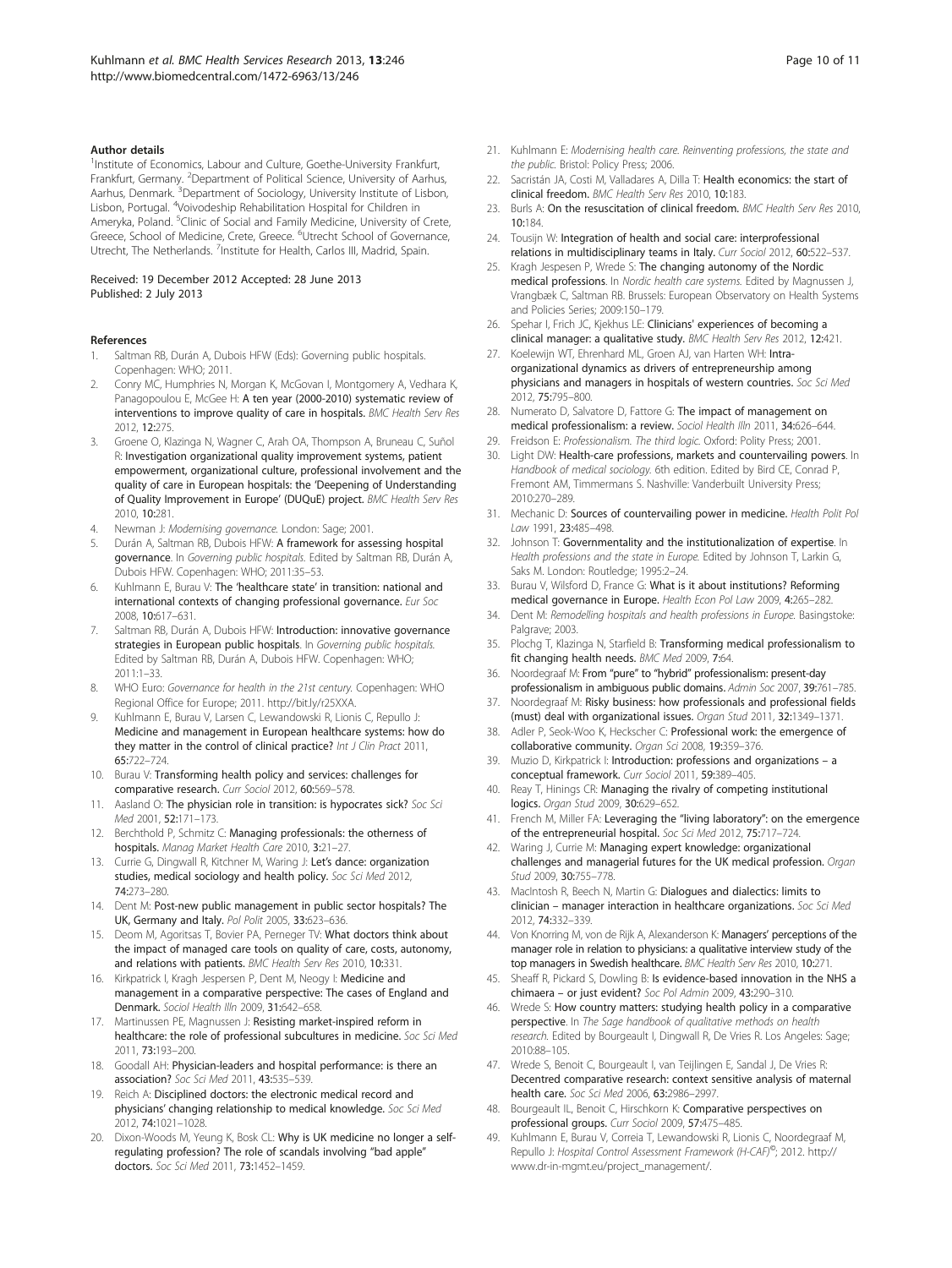#### <span id="page-9-0"></span>Author details

<sup>1</sup>Institute of Economics, Labour and Culture, Goethe-University Frankfurt, Frankfurt, Germany. <sup>2</sup>Department of Political Science, University of Aarhus, Aarhus, Denmark. <sup>3</sup>Department of Sociology, University Institute of Lisbon, Lisbon, Portugal. <sup>4</sup>Voivodeship Rehabilitation Hospital for Children in Ameryka, Poland. <sup>5</sup>Clinic of Social and Family Medicine, University of Crete, Greece, School of Medicine, Crete, Greece. <sup>6</sup>Utrecht School of Governance, Utrecht, The Netherlands. <sup>7</sup>Institute for Health, Carlos III, Madrid, Spain.

#### Received: 19 December 2012 Accepted: 28 June 2013 Published: 2 July 2013

#### References

- 1. Saltman RB, Durán A, Dubois HFW (Eds): Governing public hospitals. Copenhagen: WHO; 2011.
- 2. Conry MC, Humphries N, Morgan K, McGovan I, Montgomery A, Vedhara K, Panagopoulou E, McGee H: A ten year (2000-2010) systematic review of interventions to improve quality of care in hospitals. BMC Health Serv Res 2012, 12:275.
- 3. Groene O, Klazinga N, Wagner C, Arah OA, Thompson A, Bruneau C, Suñol R: Investigation organizational quality improvement systems, patient empowerment, organizational culture, professional involvement and the quality of care in European hospitals: the 'Deepening of Understanding of Quality Improvement in Europe' (DUQuE) project. BMC Health Serv Res 2010, 10:281.
- 4. Newman J: Modernising governance. London: Sage; 2001.
- 5. Durán A, Saltman RB, Dubois HFW: A framework for assessing hospital governance. In Governing public hospitals. Edited by Saltman RB, Durán A, Dubois HFW. Copenhagen: WHO; 2011:35–53.
- Kuhlmann E, Burau V: The 'healthcare state' in transition: national and international contexts of changing professional governance. Eur Soc 2008, 10:617–631.
- 7. Saltman RB, Durán A, Dubois HFW: Introduction: innovative governance strategies in European public hospitals. In Governing public hospitals. Edited by Saltman RB, Durán A, Dubois HFW. Copenhagen: WHO; 2011:1–33.
- 8. WHO Euro: Governance for health in the 21st century. Copenhagen: WHO Regional Office for Europe; 2011. [http://bit.ly/r25XXA.](http://bit.ly/r25XXA)
- 9. Kuhlmann E, Burau V, Larsen C, Lewandowski R, Lionis C, Repullo J: Medicine and management in European healthcare systems: how do they matter in the control of clinical practice? Int J Clin Pract 2011, 65:722–724.
- 10. Burau V: Transforming health policy and services: challenges for comparative research. Curr Sociol 2012, 60:569–578.
- 11. Aasland O: The physician role in transition: is hypocrates sick? Soc Sci Med 2001, 52:171–173.
- 12. Berchthold P, Schmitz C: Managing professionals: the otherness of hospitals. Manag Market Health Care 2010, 3:21–27.
- 13. Currie G, Dingwall R, Kitchner M, Waring J: Let's dance: organization studies, medical sociology and health policy. Soc Sci Med 2012, 74:273–280.
- 14. Dent M: Post-new public management in public sector hospitals? The UK, Germany and Italy. Pol Polit 2005, 33:623–636.
- 15. Deom M, Agoritsas T, Bovier PA, Perneger TV: What doctors think about the impact of managed care tools on quality of care, costs, autonomy, and relations with patients. BMC Health Serv Res 2010, 10:331.
- 16. Kirkpatrick I, Kragh Jespersen P, Dent M, Neogy I: Medicine and management in a comparative perspective: The cases of England and Denmark. Sociol Health Illn 2009, 31:642–658.
- 17. Martinussen PE, Magnussen J: Resisting market-inspired reform in healthcare: the role of professional subcultures in medicine. Soc Sci Med 2011, 73:193–200.
- 18. Goodall AH: Physician-leaders and hospital performance: is there an association? Soc Sci Med 2011, 43:535–539.
- 19. Reich A: Disciplined doctors: the electronic medical record and physicians' changing relationship to medical knowledge. Soc Sci Med 2012, 74:1021–1028.
- 20. Dixon-Woods M, Yeung K, Bosk CL: Why is UK medicine no longer a selfregulating profession? The role of scandals involving "bad apple" doctors. Soc Sci Med 2011, 73:1452–1459.
- 21. Kuhlmann E: Modernising health care. Reinventing professions, the state and the public. Bristol: Policy Press; 2006.
- 22. Sacristán JA, Costi M, Valladares A, Dilla T: Health economics: the start of clinical freedom. BMC Health Serv Res 2010, 10:183.
- 23. Burls A: On the resuscitation of clinical freedom. BMC Health Serv Res 2010, 10:184.
- 24. Tousijn W: Integration of health and social care: interprofessional relations in multidisciplinary teams in Italy. Curr Sociol 2012, 60:522–537.
- 25. Kragh Jespesen P, Wrede S: The changing autonomy of the Nordic medical professions. In Nordic health care systems. Edited by Magnussen J, Vrangbæk C, Saltman RB. Brussels: European Observatory on Health Systems and Policies Series; 2009:150–179.
- 26. Spehar I, Frich JC, Kjekhus LE: Clinicians' experiences of becoming a clinical manager: a qualitative study. BMC Health Serv Res 2012, 12:421.
- 27. Koelewijn WT, Ehrenhard ML, Groen AJ, van Harten WH: Intraorganizational dynamics as drivers of entrepreneurship among physicians and managers in hospitals of western countries. Soc Sci Med 2012, 75:795–800.
- 28. Numerato D, Salvatore D, Fattore G: The impact of management on medical professionalism: a review. Sociol Health Illn 2011, 34:626–644.
- 29. Freidson E: Professionalism. The third logic. Oxford: Polity Press; 2001. 30. Light DW: Health-care professions, markets and countervailing powers. In Handbook of medical sociology. 6th edition. Edited by Bird CE, Conrad P, Fremont AM, Timmermans S. Nashville: Vanderbuilt University Press;
- 2010:270–289. 31. Mechanic D: Sources of countervailing power in medicine. Health Polit Pol
- Law 1991, 23:485–498. 32. Johnson T: Governmentality and the institutionalization of expertise. In
- Health professions and the state in Europe. Edited by Johnson T, Larkin G, Saks M. London: Routledge; 1995:2–24.
- 33. Burau V, Wilsford D, France G: What is it about institutions? Reforming medical governance in Europe. Health Econ Pol Law 2009, 4:265–282.
- 34. Dent M: Remodelling hospitals and health professions in Europe. Basingstoke: Palgrave; 2003.
- 35. Plochg T, Klazinga N, Starfield B: Transforming medical professionalism to fit changing health needs. BMC Med 2009, 7:64.
- 36. Noordegraaf M: From "pure" to "hybrid" professionalism: present-day professionalism in ambiguous public domains. Admin Soc 2007, 39:761–785.
- 37. Noordegraaf M: Risky business: how professionals and professional fields (must) deal with organizational issues. Organ Stud 2011, 32:1349–1371.
- Adler P, Seok-Woo K, Heckscher C: Professional work: the emergence of collaborative community. Organ Sci 2008, 19:359–376.
- 39. Muzio D, Kirkpatrick I: Introduction: professions and organizations a conceptual framework. Curr Sociol 2011, 59:389–405.
- 40. Reay T, Hinings CR: Managing the rivalry of competing institutional logics. Organ Stud 2009, 30:629-652.
- 41. French M, Miller FA: Leveraging the "living laboratory": on the emergence of the entrepreneurial hospital. Soc Sci Med 2012, 75:717–724.
- 42. Waring J, Currie M: Managing expert knowledge: organizational challenges and managerial futures for the UK medical profession. Organ Stud 2009, 30:755–778.
- 43. MacIntosh R, Beech N, Martin G: Dialogues and dialectics: limits to clinician – manager interaction in healthcare organizations. Soc Sci Med 2012, 74:332–339.
- 44. Von Knorring M, von de Rijk A, Alexanderson K: Managers' perceptions of the manager role in relation to physicians: a qualitative interview study of the top managers in Swedish healthcare. BMC Health Serv Res 2010, 10:21
- 45. Sheaff R, Pickard S, Dowling B: Is evidence-based innovation in the NHS a chimaera – or just evident? Soc Pol Admin 2009, 43:290–310.
- 46. Wrede S: How country matters: studying health policy in a comparative perspective. In The Sage handbook of qualitative methods on health research. Edited by Bourgeault I, Dingwall R, De Vries R. Los Angeles: Sage; 2010:88–105.
- 47. Wrede S, Benoit C, Bourgeault I, van Teijlingen E, Sandal J, De Vries R: Decentred comparative research: context sensitive analysis of maternal health care. Soc Sci Med 2006, 63:2986–2997.
- 48. Bourgeault IL, Benoit C, Hirschkorn K: Comparative perspectives on professional groups. Curr Sociol 2009, 57:475-485.
- 49. Kuhlmann E, Burau V, Correia T, Lewandowski R, Lionis C, Noordegraaf M, Repullo J: Hospital Control Assessment Framework (H-CAF)<sup>®</sup>; 2012. [http://](http://www.dr-in-mgmt.eu/project_management/) [www.dr-in-mgmt.eu/project\\_management/](http://www.dr-in-mgmt.eu/project_management/).